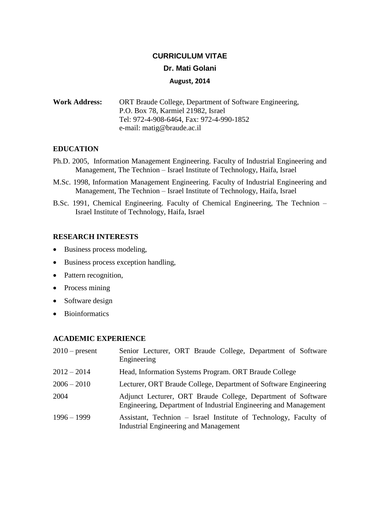## **CURRICULUM VITAE**

## **Dr. Mati Golani**

### **August, 2014**

**Work Address:** ORT Braude College, Department of Software Engineering, P.O. Box 78, Karmiel 21982, Israel Tel: 972-4-908-6464, Fax: 972-4-990-1852 e-mail: matig@braude.ac.il

## **EDUCATION**

- Ph.D. 2005, Information Management Engineering. Faculty of Industrial Engineering and Management, The Technion – Israel Institute of Technology, Haifa, Israel
- M.Sc. 1998, Information Management Engineering. Faculty of Industrial Engineering and Management, The Technion – Israel Institute of Technology, Haifa, Israel
- B.Sc. 1991, Chemical Engineering. Faculty of Chemical Engineering, The Technion Israel Institute of Technology, Haifa, Israel

### **RESEARCH INTERESTS**

- Business process modeling,
- Business process exception handling,
- Pattern recognition,
- Process mining
- Software design
- Bioinformatics

## **ACADEMIC EXPERIENCE**

| $2010$ – present | Senior Lecturer, ORT Braude College, Department of Software<br>Engineering                                                       |
|------------------|----------------------------------------------------------------------------------------------------------------------------------|
| $2012 - 2014$    | Head, Information Systems Program. ORT Braude College                                                                            |
| $2006 - 2010$    | Lecturer, ORT Braude College, Department of Software Engineering                                                                 |
| 2004             | Adjunct Lecturer, ORT Braude College, Department of Software<br>Engineering, Department of Industrial Engineering and Management |
| $1996 - 1999$    | Assistant, Technion – Israel Institute of Technology, Faculty of<br>Industrial Engineering and Management                        |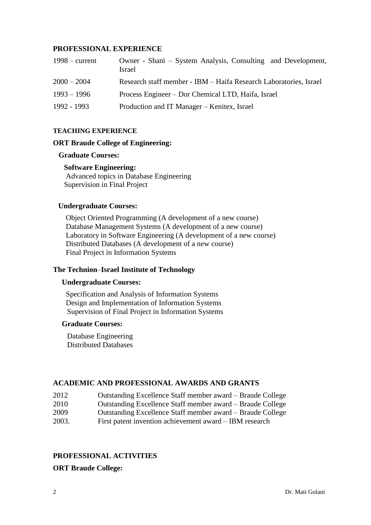### **PROFESSIONAL EXPERIENCE**

| $1998 - current$ | Owner - Shani – System Analysis, Consulting and Development,<br>Israel |
|------------------|------------------------------------------------------------------------|
| $2000 - 2004$    | Research staff member - IBM - Haifa Research Laboratories, Israel      |
| $1993 - 1996$    | Process Engineer – Dor Chemical LTD, Haifa, Israel                     |
| 1992 - 1993      | Production and IT Manager – Kenitex, Israel                            |

#### **TEACHING EXPERIENCE**

#### **ORT Braude College of Engineering:**

### **Graduate Courses:**

#### **Software Engineering:**

Advanced topics in Database Engineering Supervision in Final Project

#### **Undergraduate Courses:**

Object Oriented Programming (A development of a new course) Database Management Systems (A development of a new course) Laboratory in Software Engineering (A development of a new course) Distributed Databases (A development of a new course) Final Project in Information Systems

## **The Technion**–**Israel Institute of Technology**

#### **Undergraduate Courses:**

Specification and Analysis of Information Systems Design and Implementation of Information Systems Supervision of Final Project in Information Systems

#### **Graduate Courses:**

Database Engineering Distributed Databases

## **ACADEMIC AND PROFESSIONAL AWARDS AND GRANTS**

- 2012 Outstanding Excellence Staff member award Braude College
- 2010 Outstanding Excellence Staff member award Braude College
- 2009 Outstanding Excellence Staff member award Braude College
- 2003. First patent invention achievement award IBM research

## **PROFESSIONAL ACTIVITIES**

**ORT Braude College:**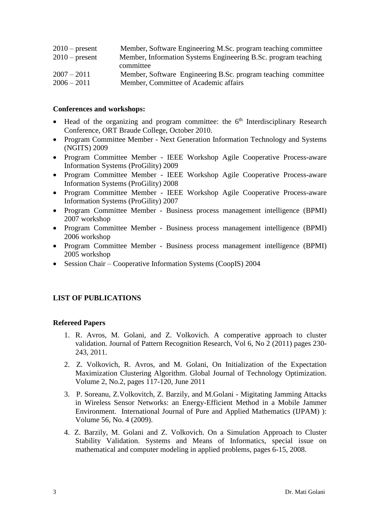| Member, Software Engineering M.Sc. program teaching committee  |
|----------------------------------------------------------------|
| Member, Information Systems Engineering B.Sc. program teaching |
| committee                                                      |
| Member, Software Engineering B.Sc. program teaching committee  |
| Member, Committee of Academic affairs                          |
|                                                                |

#### **Conferences and workshops:**

- $\bullet$  Head of the organizing and program committee: the  $6<sup>th</sup>$  Interdisciplinary Research Conference, ORT Braude College, October 2010.
- Program Committee Member Next Generation Information Technology and Systems (NGITS) 2009
- Program Committee Member IEEE Workshop Agile Cooperative Process-aware Information Systems (ProGility) 2009
- Program Committee Member IEEE Workshop Agile Cooperative Process-aware Information Systems (ProGility) 2008
- Program Committee Member IEEE Workshop Agile Cooperative Process-aware Information Systems (ProGility) 2007
- Program Committee Member Business process management intelligence (BPMI) 2007 workshop
- Program Committee Member Business process management intelligence (BPMI) 2006 workshop
- Program Committee Member Business process management intelligence (BPMI) 2005 workshop
- Session Chair Cooperative Information Systems (CoopIS) 2004

## **LIST OF PUBLICATIONS**

#### **Refereed Papers**

- 1. R. Avros, M. Golani, and Z. Volkovich. A comperative approach to cluster validation. Journal of Pattern Recognition Research, Vol 6, No 2 (2011) pages 230- 243, 2011.
- 2. Z. Volkovich, R. Avros, and M. Golani, On Initialization of the Expectation Maximization Clustering Algorithm. Global Journal of Technology Optimization. Volume 2, No.2, pages 117-120, June 2011
- 3. P. Soreanu, Z.Volkovitch, Z. Barzily, and M.Golani Migitating Jamming Attacks in Wireless Sensor Networks: an Energy-Efficient Method in a Mobile Jammer Environment. International Journal of Pure and Applied Mathematics (IJPAM) ): Volume 56, No. 4 (2009).
- 4. Z. Barzily, M. Golani and Z. Volkovich. On a Simulation Approach to Cluster Stability Validation. Systems and Means of Informatics, special issue on mathematical and computer modeling in applied problems, pages 6-15, 2008.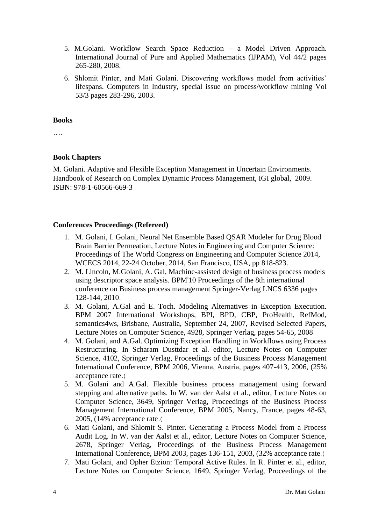- 5. M.Golani. Workflow Search Space Reduction a Model Driven Approach. International Journal of Pure and Applied Mathematics (IJPAM), Vol 44/2 pages 265-280, 2008.
- 6. Shlomit Pinter, and Mati Golani. Discovering workflows model from activities' lifespans. Computers in Industry, special issue on process/workflow mining Vol 53/3 pages 283-296, 2003.

#### **Books**

….

## **Book Chapters**

M. Golani. Adaptive and Flexible Exception Management in Uncertain Environments. Handbook of Research on Complex Dynamic Process Management, IGI global, 2009. ISBN: 978-1-60566-669-3

## **Conferences Proceedings (Refereed)**

- 1. M. Golani, I. Golani, Neural Net Ensemble Based QSAR Modeler for Drug Blood Brain Barrier Permeation, Lecture Notes in Engineering and Computer Science: Proceedings of The World Congress on Engineering and Computer Science 2014, WCECS 2014, 22-24 October, 2014, San Francisco, USA, pp 818-823.
- 2. M. Lincoln, M.Golani, A. Gal, Machine-assisted design of business process models using descriptor space analysis. BPM'10 Proceedings of the 8th international conference on Business process management Springer-Verlag LNCS 6336 pages 128-144, 2010.
- 3. M. Golani, A.Gal and E. Toch. Modeling Alternatives in Exception Execution. BPM 2007 International Workshops, BPI, BPD, CBP, ProHealth, RefMod, semantics4ws, Brisbane, Australia, September 24, 2007, Revised Selected Papers, Lecture Notes on Computer Science, 4928, Springer Verlag, pages 54-65, 2008.
- 4. M. Golani, and A.Gal. Optimizing Exception Handling in Workflows using Process Restructuring. In Scharam Dusttdar et al. editor, Lecture Notes on Computer Science, 4102, Springer Verlag, Proceedings of the Business Process Management International Conference, BPM 2006, Vienna, Austria, pages 407-413, 2006, (25% acceptance rate.(
- 5. M. Golani and A.Gal. Flexible business process management using forward stepping and alternative paths. In W. van der Aalst et al., editor, Lecture Notes on Computer Science, 3649, Springer Verlag, Proceedings of the Business Process Management International Conference, BPM 2005, Nancy, France, pages 48-63, 2005, (14% acceptance rate.)
- 6. Mati Golani, and Shlomit S. Pinter. Generating a Process Model from a Process Audit Log. In W. van der Aalst et al., editor, Lecture Notes on Computer Science, 2678, Springer Verlag, Proceedings of the Business Process Management International Conference, BPM 2003, pages 136-151, 2003, (32% acceptance rate.)
- 7. Mati Golani, and Opher Etzion: Temporal Active Rules. In R. Pinter et al., editor, Lecture Notes on Computer Science, 1649, Springer Verlag, Proceedings of the